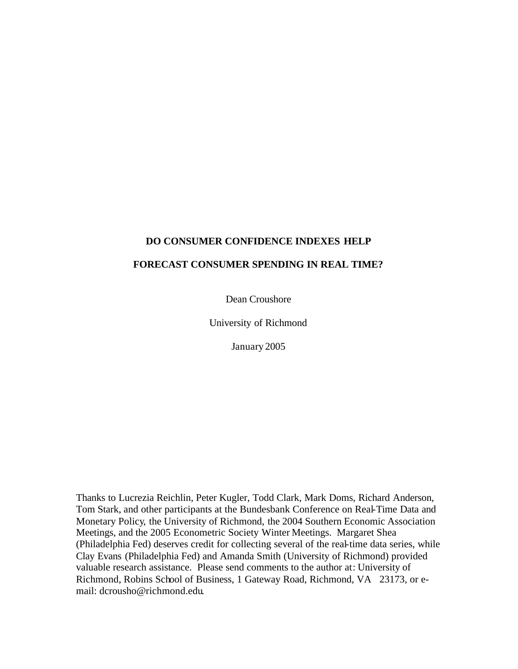## **DO CONSUMER CONFIDENCE INDEXES HELP**

### **FORECAST CONSUMER SPENDING IN REAL TIME?**

Dean Croushore

University of Richmond

January 2005

Thanks to Lucrezia Reichlin, Peter Kugler, Todd Clark, Mark Doms, Richard Anderson, Tom Stark, and other participants at the Bundesbank Conference on Real-Time Data and Monetary Policy, the University of Richmond, the 2004 Southern Economic Association Meetings, and the 2005 Econometric Society Winter Meetings. Margaret Shea (Philadelphia Fed) deserves credit for collecting several of the real-time data series, while Clay Evans (Philadelphia Fed) and Amanda Smith (University of Richmond) provided valuable research assistance. Please send comments to the author at: University of Richmond, Robins School of Business, 1 Gateway Road, Richmond, VA 23173, or email: dcrousho@richmond.edu.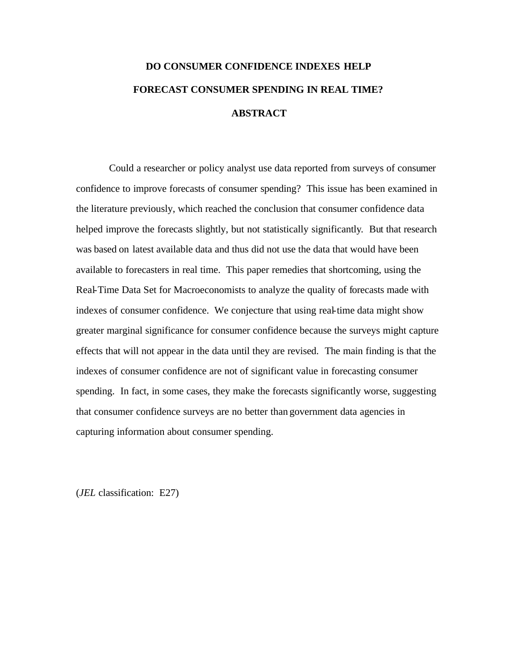# **DO CONSUMER CONFIDENCE INDEXES HELP FORECAST CONSUMER SPENDING IN REAL TIME? ABSTRACT**

Could a researcher or policy analyst use data reported from surveys of consumer confidence to improve forecasts of consumer spending? This issue has been examined in the literature previously, which reached the conclusion that consumer confidence data helped improve the forecasts slightly, but not statistically significantly. But that research was based on latest available data and thus did not use the data that would have been available to forecasters in real time. This paper remedies that shortcoming, using the Real-Time Data Set for Macroeconomists to analyze the quality of forecasts made with indexes of consumer confidence. We conjecture that using real-time data might show greater marginal significance for consumer confidence because the surveys might capture effects that will not appear in the data until they are revised. The main finding is that the indexes of consumer confidence are not of significant value in forecasting consumer spending. In fact, in some cases, they make the forecasts significantly worse, suggesting that consumer confidence surveys are no better than government data agencies in capturing information about consumer spending.

(*JEL* classification: E27)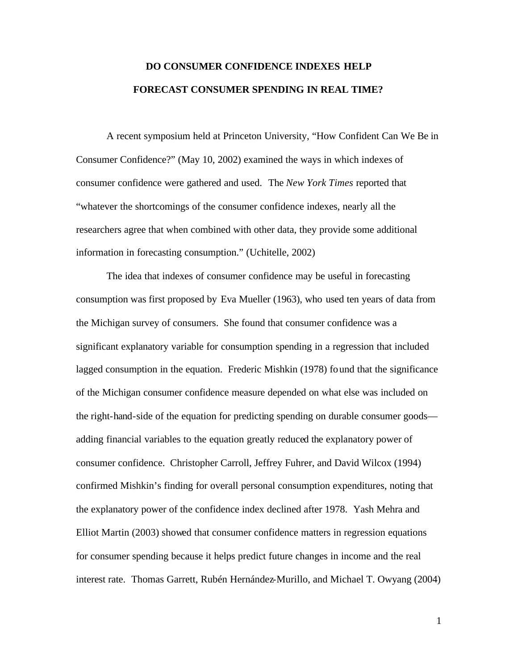## **DO CONSUMER CONFIDENCE INDEXES HELP FORECAST CONSUMER SPENDING IN REAL TIME?**

A recent symposium held at Princeton University, "How Confident Can We Be in Consumer Confidence?" (May 10, 2002) examined the ways in which indexes of consumer confidence were gathered and used. The *New York Times* reported that "whatever the shortcomings of the consumer confidence indexes, nearly all the researchers agree that when combined with other data, they provide some additional information in forecasting consumption." (Uchitelle, 2002)

The idea that indexes of consumer confidence may be useful in forecasting consumption was first proposed by Eva Mueller (1963), who used ten years of data from the Michigan survey of consumers. She found that consumer confidence was a significant explanatory variable for consumption spending in a regression that included lagged consumption in the equation. Frederic Mishkin (1978) found that the significance of the Michigan consumer confidence measure depended on what else was included on the right-hand-side of the equation for predicting spending on durable consumer goods adding financial variables to the equation greatly reduced the explanatory power of consumer confidence. Christopher Carroll, Jeffrey Fuhrer, and David Wilcox (1994) confirmed Mishkin's finding for overall personal consumption expenditures, noting that the explanatory power of the confidence index declined after 1978. Yash Mehra and Elliot Martin (2003) showed that consumer confidence matters in regression equations for consumer spending because it helps predict future changes in income and the real interest rate. Thomas Garrett, Rubén Hernández-Murillo, and Michael T. Owyang (2004)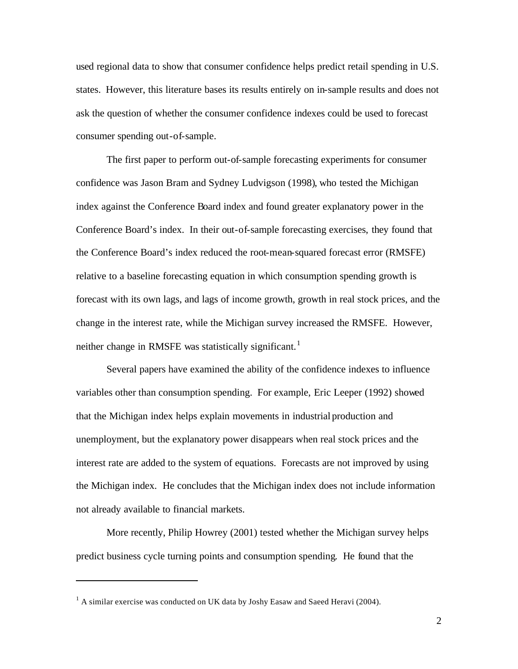used regional data to show that consumer confidence helps predict retail spending in U.S. states. However, this literature bases its results entirely on in-sample results and does not ask the question of whether the consumer confidence indexes could be used to forecast consumer spending out-of-sample.

The first paper to perform out-of-sample forecasting experiments for consumer confidence was Jason Bram and Sydney Ludvigson (1998), who tested the Michigan index against the Conference Board index and found greater explanatory power in the Conference Board's index. In their out-of-sample forecasting exercises, they found that the Conference Board's index reduced the root-mean-squared forecast error (RMSFE) relative to a baseline forecasting equation in which consumption spending growth is forecast with its own lags, and lags of income growth, growth in real stock prices, and the change in the interest rate, while the Michigan survey increased the RMSFE. However, neither change in RMSFE was statistically significant.<sup>1</sup>

Several papers have examined the ability of the confidence indexes to influence variables other than consumption spending. For example, Eric Leeper (1992) showed that the Michigan index helps explain movements in industrial production and unemployment, but the explanatory power disappears when real stock prices and the interest rate are added to the system of equations. Forecasts are not improved by using the Michigan index. He concludes that the Michigan index does not include information not already available to financial markets.

More recently, Philip Howrey (2001) tested whether the Michigan survey helps predict business cycle turning points and consumption spending. He found that the

 $1$  A similar exercise was conducted on UK data by Joshy Easaw and Saeed Heravi (2004).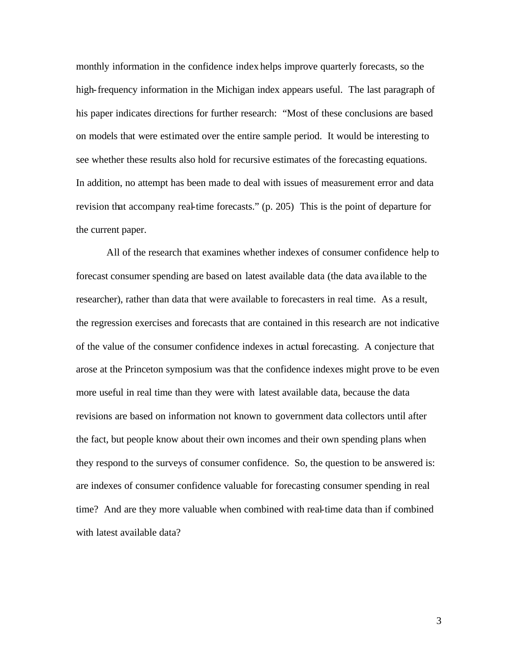monthly information in the confidence index helps improve quarterly forecasts, so the high-frequency information in the Michigan index appears useful. The last paragraph of his paper indicates directions for further research: "Most of these conclusions are based on models that were estimated over the entire sample period. It would be interesting to see whether these results also hold for recursive estimates of the forecasting equations. In addition, no attempt has been made to deal with issues of measurement error and data revision that accompany real-time forecasts." (p. 205) This is the point of departure for the current paper.

All of the research that examines whether indexes of consumer confidence help to forecast consumer spending are based on latest available data (the data ava ilable to the researcher), rather than data that were available to forecasters in real time. As a result, the regression exercises and forecasts that are contained in this research are not indicative of the value of the consumer confidence indexes in actual forecasting. A conjecture that arose at the Princeton symposium was that the confidence indexes might prove to be even more useful in real time than they were with latest available data, because the data revisions are based on information not known to government data collectors until after the fact, but people know about their own incomes and their own spending plans when they respond to the surveys of consumer confidence. So, the question to be answered is: are indexes of consumer confidence valuable for forecasting consumer spending in real time? And are they more valuable when combined with real-time data than if combined with latest available data?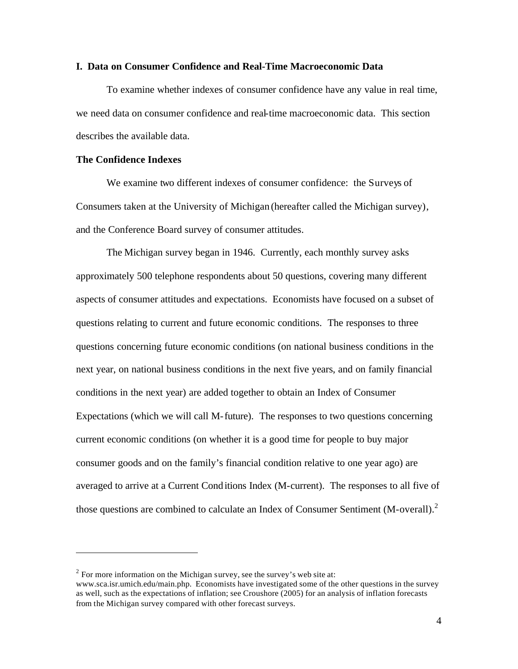### **I. Data on Consumer Confidence and Real-Time Macroeconomic Data**

To examine whether indexes of consumer confidence have any value in real time, we need data on consumer confidence and real-time macroeconomic data. This section describes the available data.

### **The Confidence Indexes**

 $\overline{a}$ 

We examine two different indexes of consumer confidence: the Surveys of Consumers taken at the University of Michigan (hereafter called the Michigan survey), and the Conference Board survey of consumer attitudes.

The Michigan survey began in 1946. Currently, each monthly survey asks approximately 500 telephone respondents about 50 questions, covering many different aspects of consumer attitudes and expectations. Economists have focused on a subset of questions relating to current and future economic conditions. The responses to three questions concerning future economic conditions (on national business conditions in the next year, on national business conditions in the next five years, and on family financial conditions in the next year) are added together to obtain an Index of Consumer Expectations (which we will call M-future). The responses to two questions concerning current economic conditions (on whether it is a good time for people to buy major consumer goods and on the family's financial condition relative to one year ago) are averaged to arrive at a Current Conditions Index (M-current). The responses to all five of those questions are combined to calculate an Index of Consumer Sentiment (M-overall). $^{2}$ 

 $2^{2}$  For more information on the Michigan survey, see the survey's web site at:

www.sca.isr.umich.edu/main.php. Economists have investigated some of the other questions in the survey as well, such as the expectations of inflation; see Croushore (2005) for an analysis of inflation forecasts from the Michigan survey compared with other forecast surveys.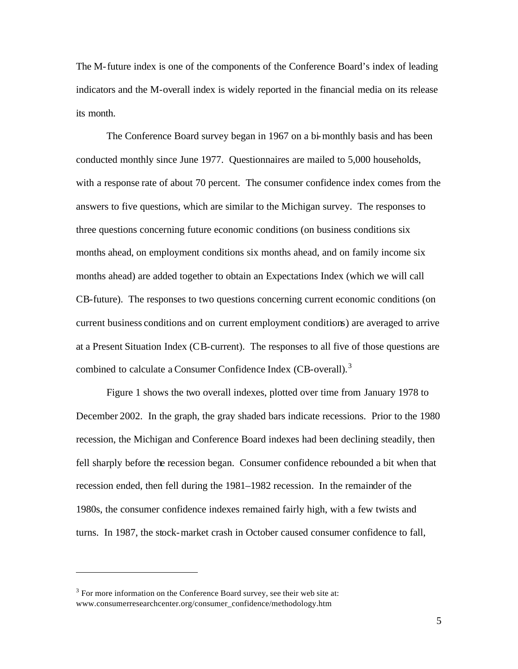The M-future index is one of the components of the Conference Board's index of leading indicators and the M-overall index is widely reported in the financial media on its release its month.

The Conference Board survey began in 1967 on a bi-monthly basis and has been conducted monthly since June 1977. Questionnaires are mailed to 5,000 households, with a response rate of about 70 percent. The consumer confidence index comes from the answers to five questions, which are similar to the Michigan survey. The responses to three questions concerning future economic conditions (on business conditions six months ahead, on employment conditions six months ahead, and on family income six months ahead) are added together to obtain an Expectations Index (which we will call CB-future). The responses to two questions concerning current economic conditions (on current business conditions and on current employment conditions) are averaged to arrive at a Present Situation Index (CB-current). The responses to all five of those questions are combined to calculate a Consumer Confidence Index (CB-overall).<sup>3</sup>

Figure 1 shows the two overall indexes, plotted over time from January 1978 to December 2002. In the graph, the gray shaded bars indicate recessions. Prior to the 1980 recession, the Michigan and Conference Board indexes had been declining steadily, then fell sharply before the recession began. Consumer confidence rebounded a bit when that recession ended, then fell during the 1981–1982 recession. In the remainder of the 1980s, the consumer confidence indexes remained fairly high, with a few twists and turns. In 1987, the stock-market crash in October caused consumer confidence to fall,

 $3$  For more information on the Conference Board survey, see their web site at: www.consumerresearchcenter.org/consumer\_confidence/methodology.htm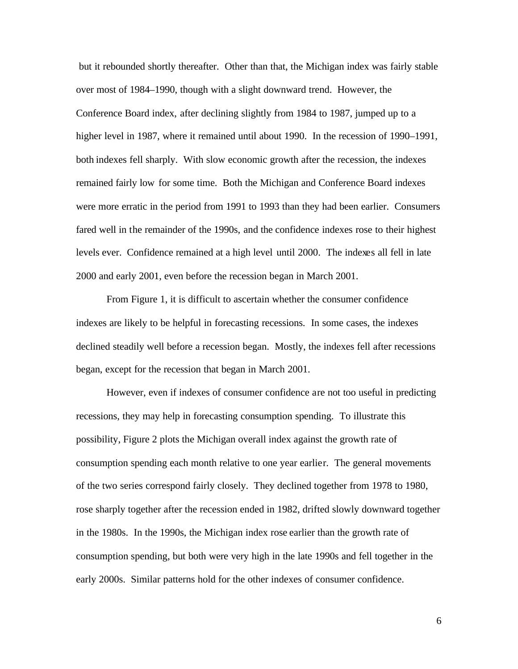but it rebounded shortly thereafter. Other than that, the Michigan index was fairly stable over most of 1984–1990, though with a slight downward trend. However, the Conference Board index, after declining slightly from 1984 to 1987, jumped up to a higher level in 1987, where it remained until about 1990. In the recession of 1990–1991, both indexes fell sharply. With slow economic growth after the recession, the indexes remained fairly low for some time. Both the Michigan and Conference Board indexes were more erratic in the period from 1991 to 1993 than they had been earlier. Consumers fared well in the remainder of the 1990s, and the confidence indexes rose to their highest levels ever. Confidence remained at a high level until 2000. The indexes all fell in late 2000 and early 2001, even before the recession began in March 2001.

From Figure 1, it is difficult to ascertain whether the consumer confidence indexes are likely to be helpful in forecasting recessions. In some cases, the indexes declined steadily well before a recession began. Mostly, the indexes fell after recessions began, except for the recession that began in March 2001.

However, even if indexes of consumer confidence are not too useful in predicting recessions, they may help in forecasting consumption spending. To illustrate this possibility, Figure 2 plots the Michigan overall index against the growth rate of consumption spending each month relative to one year earlier. The general movements of the two series correspond fairly closely. They declined together from 1978 to 1980, rose sharply together after the recession ended in 1982, drifted slowly downward together in the 1980s. In the 1990s, the Michigan index rose earlier than the growth rate of consumption spending, but both were very high in the late 1990s and fell together in the early 2000s. Similar patterns hold for the other indexes of consumer confidence.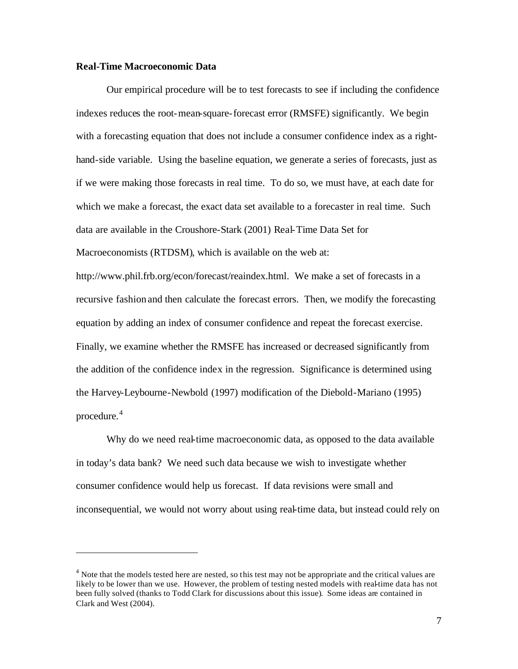### **Real-Time Macroeconomic Data**

Our empirical procedure will be to test forecasts to see if including the confidence indexes reduces the root-mean-square-forecast error (RMSFE) significantly. We begin with a forecasting equation that does not include a consumer confidence index as a righthand-side variable. Using the baseline equation, we generate a series of forecasts, just as if we were making those forecasts in real time. To do so, we must have, at each date for which we make a forecast, the exact data set available to a forecaster in real time. Such data are available in the Croushore-Stark (2001) Real-Time Data Set for Macroeconomists (RTDSM), which is available on the web at: http://www.phil.frb.org/econ/forecast/reaindex.html. We make a set of forecasts in a recursive fashion and then calculate the forecast errors. Then, we modify the forecasting equation by adding an index of consumer confidence and repeat the forecast exercise. Finally, we examine whether the RMSFE has increased or decreased significantly from the addition of the confidence index in the regression. Significance is determined using the Harvey-Leybourne-Newbold (1997) modification of the Diebold-Mariano (1995)

procedure. 4

 $\overline{a}$ 

Why do we need real-time macroeconomic data, as opposed to the data available in today's data bank? We need such data because we wish to investigate whether consumer confidence would help us forecast. If data revisions were small and inconsequential, we would not worry about using real-time data, but instead could rely on

<sup>&</sup>lt;sup>4</sup> Note that the models tested here are nested, so this test may not be appropriate and the critical values are likely to be lower than we use. However, the problem of testing nested models with real-time data has not been fully solved (thanks to Todd Clark for discussions about this issue). Some ideas are contained in Clark and West (2004).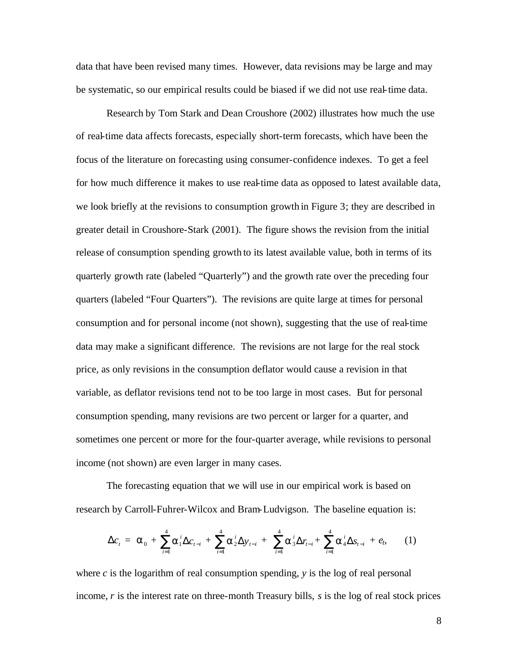data that have been revised many times. However, data revisions may be large and may be systematic, so our empirical results could be biased if we did not use real-time data.

Research by Tom Stark and Dean Croushore (2002) illustrates how much the use of real-time data affects forecasts, especially short-term forecasts, which have been the focus of the literature on forecasting using consumer-confidence indexes. To get a feel for how much difference it makes to use real-time data as opposed to latest available data, we look briefly at the revisions to consumption growth in Figure 3; they are described in greater detail in Croushore-Stark (2001). The figure shows the revision from the initial release of consumption spending growth to its latest available value, both in terms of its quarterly growth rate (labeled "Quarterly") and the growth rate over the preceding four quarters (labeled "Four Quarters"). The revisions are quite large at times for personal consumption and for personal income (not shown), suggesting that the use of real-time data may make a significant difference. The revisions are not large for the real stock price, as only revisions in the consumption deflator would cause a revision in that variable, as deflator revisions tend not to be too large in most cases. But for personal consumption spending, many revisions are two percent or larger for a quarter, and sometimes one percent or more for the four-quarter average, while revisions to personal income (not shown) are even larger in many cases.

The forecasting equation that we will use in our empirical work is based on research by Carroll-Fuhrer-Wilcox and Bram-Ludvigson. The baseline equation is:

$$
\Delta c_{t} = \mathbf{a}_{0} + \sum_{i=1}^{4} \mathbf{a}_{1}^{i} \Delta c_{t-i} + \sum_{i=1}^{4} \mathbf{a}_{2}^{i} \Delta y_{t-i} + \sum_{i=1}^{4} \mathbf{a}_{3}^{i} \Delta r_{t-i} + \sum_{i=1}^{4} \mathbf{a}_{4}^{i} \Delta s_{t-i} + e_{t}, \quad (1)
$$

where *c* is the logarithm of real consumption spending, *y* is the log of real personal income, *r* is the interest rate on three-month Treasury bills, *s* is the log of real stock prices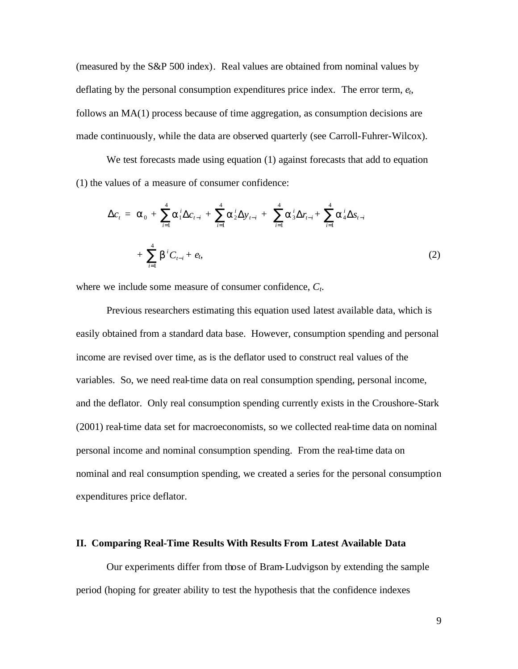(measured by the S&P 500 index). Real values are obtained from nominal values by deflating by the personal consumption expenditures price index. The error term, *et*, follows an MA(1) process because of time aggregation, as consumption decisions are made continuously, while the data are observed quarterly (see Carroll-Fuhrer-Wilcox).

We test forecasts made using equation (1) against forecasts that add to equation (1) the values of a measure of consumer confidence:

$$
\Delta c_{t} = \mathbf{a}_{0} + \sum_{i=1}^{4} \mathbf{a}_{1}^{i} \Delta c_{t-i} + \sum_{i=1}^{4} \mathbf{a}_{2}^{i} \Delta y_{t-i} + \sum_{i=1}^{4} \mathbf{a}_{3}^{i} \Delta r_{t-i} + \sum_{i=1}^{4} \mathbf{a}_{4}^{i} \Delta s_{t-i} + \sum_{i=1}^{4} \mathbf{b}^{i} C_{t-i} + e_{t},
$$
\n(2)

where we include some measure of consumer confidence, *Ct*.

Previous researchers estimating this equation used latest available data, which is easily obtained from a standard data base. However, consumption spending and personal income are revised over time, as is the deflator used to construct real values of the variables. So, we need real-time data on real consumption spending, personal income, and the deflator. Only real consumption spending currently exists in the Croushore-Stark (2001) real-time data set for macroeconomists, so we collected real-time data on nominal personal income and nominal consumption spending. From the real-time data on nominal and real consumption spending, we created a series for the personal consumption expenditures price deflator.

### **II. Comparing Real-Time Results With Results From Latest Available Data**

Our experiments differ from those of Bram-Ludvigson by extending the sample period (hoping for greater ability to test the hypothesis that the confidence indexes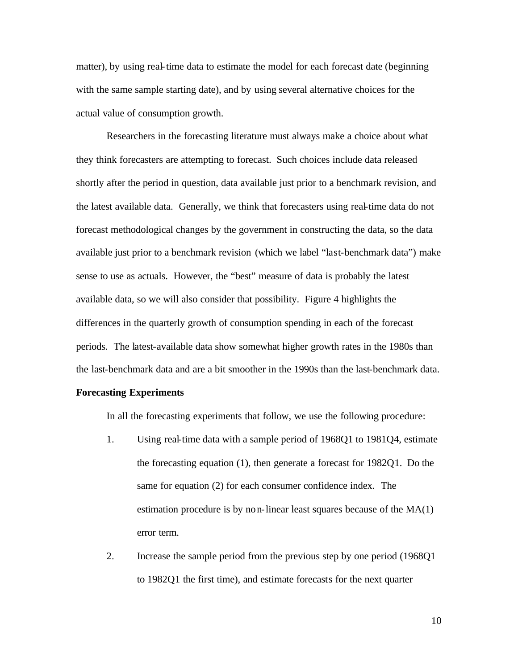matter), by using real-time data to estimate the model for each forecast date (beginning with the same sample starting date), and by using several alternative choices for the actual value of consumption growth.

Researchers in the forecasting literature must always make a choice about what they think forecasters are attempting to forecast. Such choices include data released shortly after the period in question, data available just prior to a benchmark revision, and the latest available data. Generally, we think that forecasters using real-time data do not forecast methodological changes by the government in constructing the data, so the data available just prior to a benchmark revision (which we label "last-benchmark data") make sense to use as actuals. However, the "best" measure of data is probably the latest available data, so we will also consider that possibility. Figure 4 highlights the differences in the quarterly growth of consumption spending in each of the forecast periods. The latest-available data show somewhat higher growth rates in the 1980s than the last-benchmark data and are a bit smoother in the 1990s than the last-benchmark data.

#### **Forecasting Experiments**

In all the forecasting experiments that follow, we use the following procedure:

- 1. Using real-time data with a sample period of 1968Q1 to 1981Q4, estimate the forecasting equation (1), then generate a forecast for 1982Q1. Do the same for equation (2) for each consumer confidence index. The estimation procedure is by non-linear least squares because of the MA(1) error term.
- 2. Increase the sample period from the previous step by one period (1968Q1 to 1982Q1 the first time), and estimate forecasts for the next quarter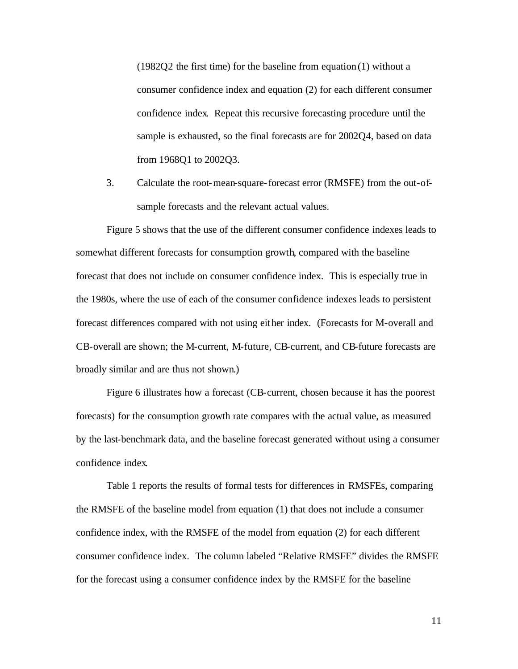(1982Q2 the first time) for the baseline from equation (1) without a consumer confidence index and equation (2) for each different consumer confidence index. Repeat this recursive forecasting procedure until the sample is exhausted, so the final forecasts are for 2002Q4, based on data from 1968Q1 to 2002Q3.

3. Calculate the root-mean-square-forecast error (RMSFE) from the out-ofsample forecasts and the relevant actual values.

Figure 5 shows that the use of the different consumer confidence indexes leads to somewhat different forecasts for consumption growth, compared with the baseline forecast that does not include on consumer confidence index. This is especially true in the 1980s, where the use of each of the consumer confidence indexes leads to persistent forecast differences compared with not using either index. (Forecasts for M-overall and CB-overall are shown; the M-current, M-future, CB-current, and CB-future forecasts are broadly similar and are thus not shown.)

Figure 6 illustrates how a forecast (CB-current, chosen because it has the poorest forecasts) for the consumption growth rate compares with the actual value, as measured by the last-benchmark data, and the baseline forecast generated without using a consumer confidence index.

Table 1 reports the results of formal tests for differences in RMSFEs, comparing the RMSFE of the baseline model from equation (1) that does not include a consumer confidence index, with the RMSFE of the model from equation (2) for each different consumer confidence index. The column labeled "Relative RMSFE" divides the RMSFE for the forecast using a consumer confidence index by the RMSFE for the baseline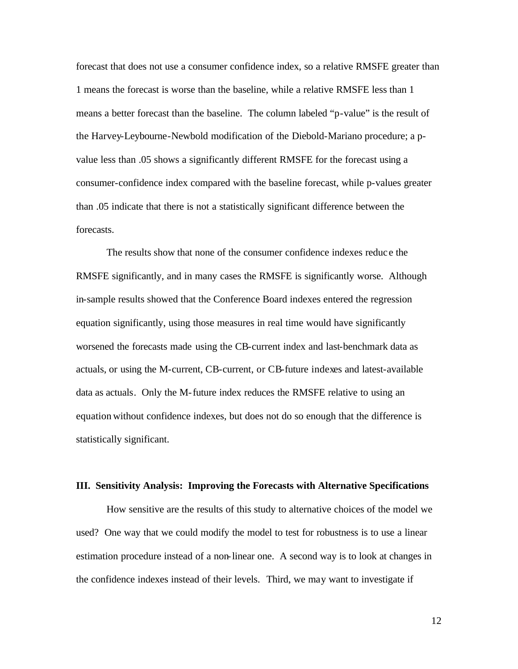forecast that does not use a consumer confidence index, so a relative RMSFE greater than 1 means the forecast is worse than the baseline, while a relative RMSFE less than 1 means a better forecast than the baseline. The column labeled "p-value" is the result of the Harvey-Leybourne-Newbold modification of the Diebold-Mariano procedure; a pvalue less than .05 shows a significantly different RMSFE for the forecast using a consumer-confidence index compared with the baseline forecast, while p-values greater than .05 indicate that there is not a statistically significant difference between the forecasts.

The results show that none of the consumer confidence indexes reduc e the RMSFE significantly, and in many cases the RMSFE is significantly worse. Although in-sample results showed that the Conference Board indexes entered the regression equation significantly, using those measures in real time would have significantly worsened the forecasts made using the CB-current index and last-benchmark data as actuals, or using the M-current, CB-current, or CB-future indexes and latest-available data as actuals. Only the M-future index reduces the RMSFE relative to using an equation without confidence indexes, but does not do so enough that the difference is statistically significant.

### **III. Sensitivity Analysis: Improving the Forecasts with Alternative Specifications**

How sensitive are the results of this study to alternative choices of the model we used? One way that we could modify the model to test for robustness is to use a linear estimation procedure instead of a non-linear one. A second way is to look at changes in the confidence indexes instead of their levels. Third, we may want to investigate if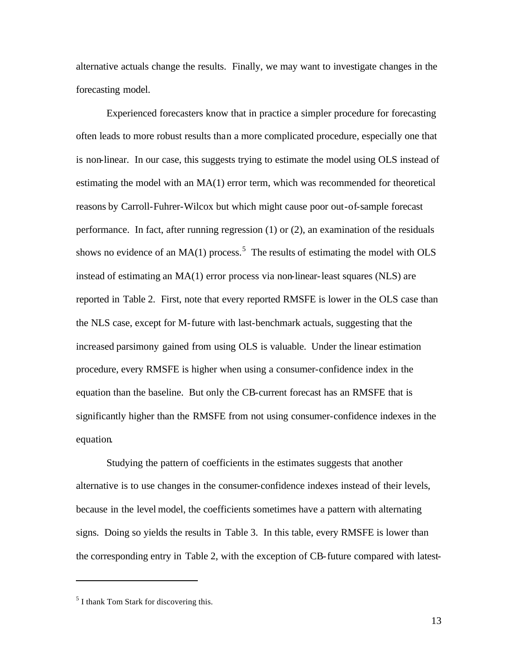alternative actuals change the results. Finally, we may want to investigate changes in the forecasting model.

Experienced forecasters know that in practice a simpler procedure for forecasting often leads to more robust results than a more complicated procedure, especially one that is non-linear. In our case, this suggests trying to estimate the model using OLS instead of estimating the model with an MA(1) error term, which was recommended for theoretical reasons by Carroll-Fuhrer-Wilcox but which might cause poor out-of-sample forecast performance. In fact, after running regression (1) or (2), an examination of the residuals shows no evidence of an  $MA(1)$  process.<sup>5</sup> The results of estimating the model with OLS instead of estimating an MA(1) error process via non-linear-least squares (NLS) are reported in Table 2. First, note that every reported RMSFE is lower in the OLS case than the NLS case, except for M-future with last-benchmark actuals, suggesting that the increased parsimony gained from using OLS is valuable. Under the linear estimation procedure, every RMSFE is higher when using a consumer-confidence index in the equation than the baseline. But only the CB-current forecast has an RMSFE that is significantly higher than the RMSFE from not using consumer-confidence indexes in the equation.

Studying the pattern of coefficients in the estimates suggests that another alternative is to use changes in the consumer-confidence indexes instead of their levels, because in the level model, the coefficients sometimes have a pattern with alternating signs. Doing so yields the results in Table 3. In this table, every RMSFE is lower than the corresponding entry in Table 2, with the exception of CB-future compared with latest-

<sup>&</sup>lt;sup>5</sup> I thank Tom Stark for discovering this.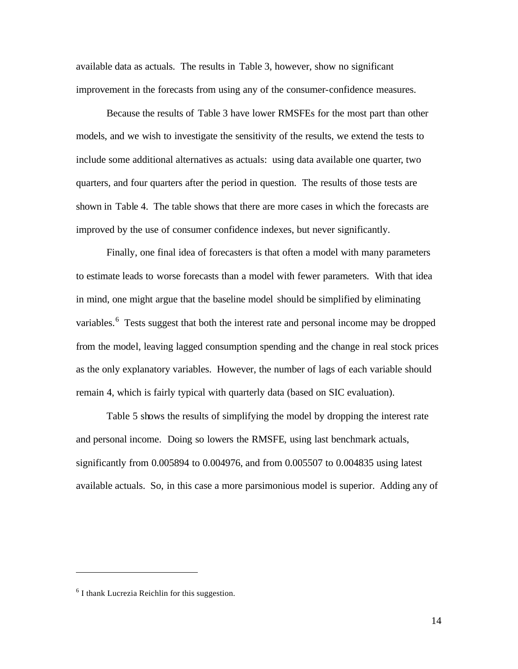available data as actuals. The results in Table 3, however, show no significant improvement in the forecasts from using any of the consumer-confidence measures.

Because the results of Table 3 have lower RMSFEs for the most part than other models, and we wish to investigate the sensitivity of the results, we extend the tests to include some additional alternatives as actuals: using data available one quarter, two quarters, and four quarters after the period in question. The results of those tests are shown in Table 4. The table shows that there are more cases in which the forecasts are improved by the use of consumer confidence indexes, but never significantly.

Finally, one final idea of forecasters is that often a model with many parameters to estimate leads to worse forecasts than a model with fewer parameters. With that idea in mind, one might argue that the baseline model should be simplified by eliminating variables.<sup>6</sup> Tests suggest that both the interest rate and personal income may be dropped from the model, leaving lagged consumption spending and the change in real stock prices as the only explanatory variables. However, the number of lags of each variable should remain 4, which is fairly typical with quarterly data (based on SIC evaluation).

Table 5 shows the results of simplifying the model by dropping the interest rate and personal income. Doing so lowers the RMSFE, using last benchmark actuals, significantly from 0.005894 to 0.004976, and from 0.005507 to 0.004835 using latest available actuals. So, in this case a more parsimonious model is superior. Adding any of

 $6$  I thank Lucrezia Reichlin for this suggestion.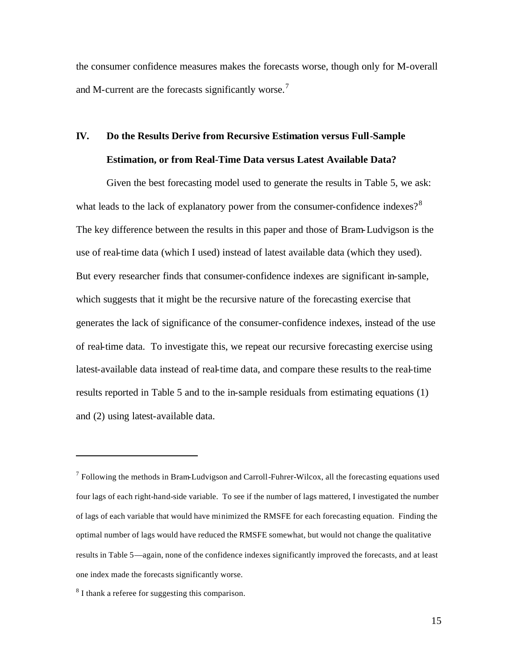the consumer confidence measures makes the forecasts worse, though only for M-overall and M-current are the forecasts significantly worse.<sup>7</sup>

## **IV. Do the Results Derive from Recursive Estimation versus Full-Sample Estimation, or from Real-Time Data versus Latest Available Data?**

Given the best forecasting model used to generate the results in Table 5, we ask: what leads to the lack of explanatory power from the consumer-confidence indexes? $8<sup>8</sup>$ The key difference between the results in this paper and those of Bram-Ludvigson is the use of real-time data (which I used) instead of latest available data (which they used). But every researcher finds that consumer-confidence indexes are significant in-sample, which suggests that it might be the recursive nature of the forecasting exercise that generates the lack of significance of the consumer-confidence indexes, instead of the use of real-time data. To investigate this, we repeat our recursive forecasting exercise using latest-available data instead of real-time data, and compare these results to the real-time results reported in Table 5 and to the in-sample residuals from estimating equations (1) and (2) using latest-available data.

 $7$  Following the methods in Bram-Ludvigson and Carroll-Fuhrer-Wilcox, all the forecasting equations used four lags of each right-hand-side variable. To see if the number of lags mattered, I investigated the number of lags of each variable that would have minimized the RMSFE for each forecasting equation. Finding the optimal number of lags would have reduced the RMSFE somewhat, but would not change the qualitative results in Table 5—again, none of the confidence indexes significantly improved the forecasts, and at least one index made the forecasts significantly worse.

<sup>&</sup>lt;sup>8</sup> I thank a referee for suggesting this comparison.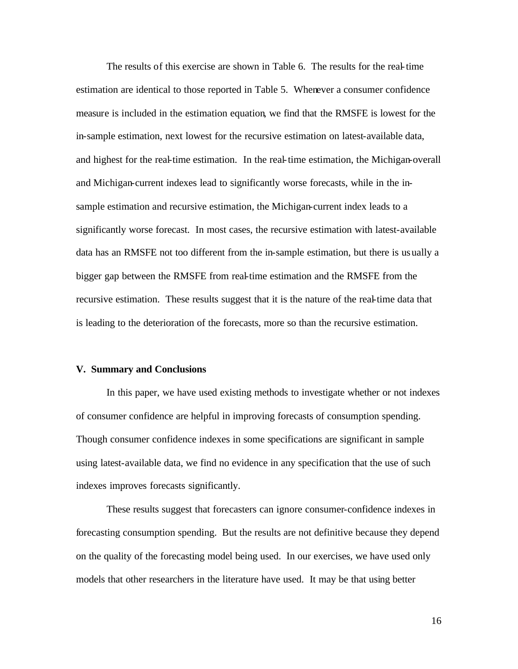The results of this exercise are shown in Table 6. The results for the real-time estimation are identical to those reported in Table 5. Whenever a consumer confidence measure is included in the estimation equation, we find that the RMSFE is lowest for the in-sample estimation, next lowest for the recursive estimation on latest-available data, and highest for the real-time estimation. In the real-time estimation, the Michigan-overall and Michigan-current indexes lead to significantly worse forecasts, while in the insample estimation and recursive estimation, the Michigan-current index leads to a significantly worse forecast. In most cases, the recursive estimation with latest-available data has an RMSFE not too different from the in-sample estimation, but there is usually a bigger gap between the RMSFE from real-time estimation and the RMSFE from the recursive estimation. These results suggest that it is the nature of the real-time data that is leading to the deterioration of the forecasts, more so than the recursive estimation.

### **V. Summary and Conclusions**

In this paper, we have used existing methods to investigate whether or not indexes of consumer confidence are helpful in improving forecasts of consumption spending. Though consumer confidence indexes in some specifications are significant in sample using latest-available data, we find no evidence in any specification that the use of such indexes improves forecasts significantly.

These results suggest that forecasters can ignore consumer-confidence indexes in forecasting consumption spending. But the results are not definitive because they depend on the quality of the forecasting model being used. In our exercises, we have used only models that other researchers in the literature have used. It may be that using better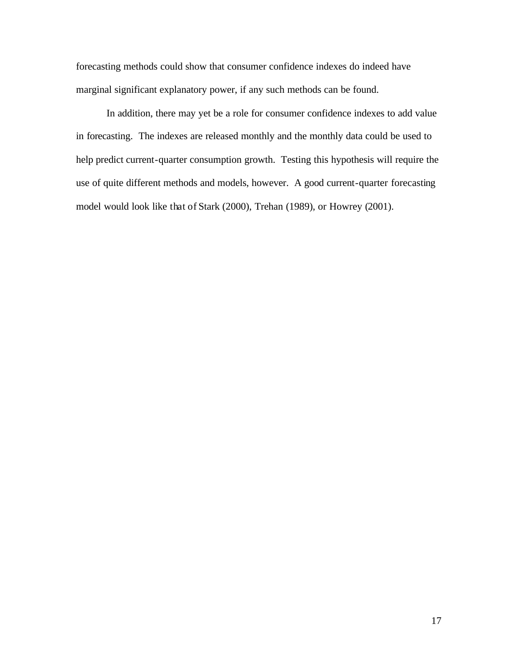forecasting methods could show that consumer confidence indexes do indeed have marginal significant explanatory power, if any such methods can be found.

In addition, there may yet be a role for consumer confidence indexes to add value in forecasting. The indexes are released monthly and the monthly data could be used to help predict current-quarter consumption growth. Testing this hypothesis will require the use of quite different methods and models, however. A good current-quarter forecasting model would look like that of Stark (2000), Trehan (1989), or Howrey (2001).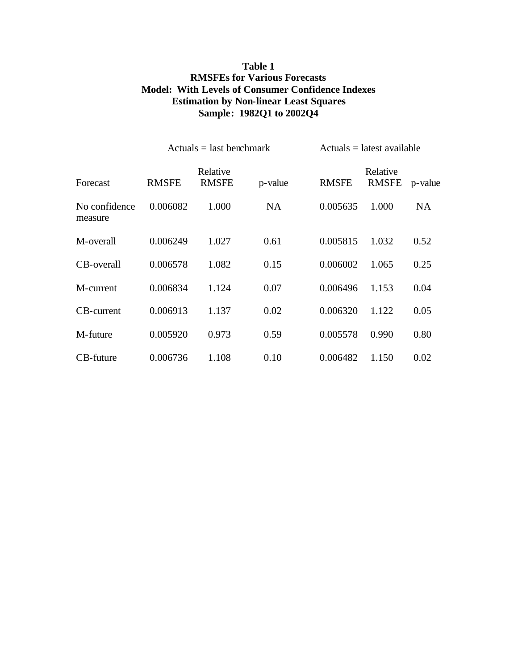## **Table 1 RMSFEs for Various Forecasts Model: With Levels of Consumer Confidence Indexes Estimation by Non-linear Least Squares Sample: 1982Q1 to 2002Q4**

|                          | $Actuals = last benchmark$ |                          |         | $Actuals = latest available$ |                          |           |
|--------------------------|----------------------------|--------------------------|---------|------------------------------|--------------------------|-----------|
| Forecast                 | <b>RMSFE</b>               | Relative<br><b>RMSFE</b> | p-value | <b>RMSFE</b>                 | Relative<br><b>RMSFE</b> | p-value   |
| No confidence<br>measure | 0.006082                   | 1.000                    | NA      | 0.005635                     | 1.000                    | <b>NA</b> |
| M-overall                | 0.006249                   | 1.027                    | 0.61    | 0.005815                     | 1.032                    | 0.52      |
| CB-overall               | 0.006578                   | 1.082                    | 0.15    | 0.006002                     | 1.065                    | 0.25      |
| M-current                | 0.006834                   | 1.124                    | 0.07    | 0.006496                     | 1.153                    | 0.04      |
| <b>CB-current</b>        | 0.006913                   | 1.137                    | 0.02    | 0.006320                     | 1.122                    | 0.05      |
| M-future                 | 0.005920                   | 0.973                    | 0.59    | 0.005578                     | 0.990                    | 0.80      |
| CB-future                | 0.006736                   | 1.108                    | 0.10    | 0.006482                     | 1.150                    | 0.02      |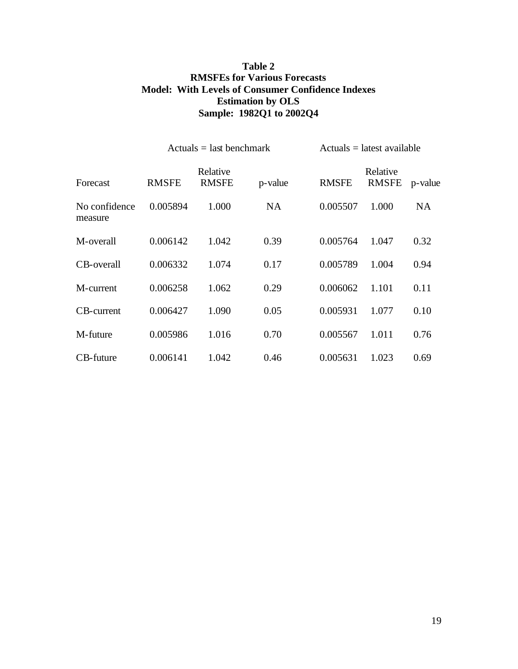## **Table 2 RMSFEs for Various Forecasts Model: With Levels of Consumer Confidence Indexes Estimation by OLS Sample: 1982Q1 to 2002Q4**

|                          | $Actuals = last benchmark$ |                          |         | $Actuals = latest available$ |                          |         |
|--------------------------|----------------------------|--------------------------|---------|------------------------------|--------------------------|---------|
| Forecast                 | <b>RMSFE</b>               | Relative<br><b>RMSFE</b> | p-value | <b>RMSFE</b>                 | Relative<br><b>RMSFE</b> | p-value |
| No confidence<br>measure | 0.005894                   | 1.000                    | NA      | 0.005507                     | 1.000                    | NA      |
| M-overall                | 0.006142                   | 1.042                    | 0.39    | 0.005764                     | 1.047                    | 0.32    |
| CB-overall               | 0.006332                   | 1.074                    | 0.17    | 0.005789                     | 1.004                    | 0.94    |
| M-current                | 0.006258                   | 1.062                    | 0.29    | 0.006062                     | 1.101                    | 0.11    |
| CB-current               | 0.006427                   | 1.090                    | 0.05    | 0.005931                     | 1.077                    | 0.10    |
| M-future                 | 0.005986                   | 1.016                    | 0.70    | 0.005567                     | 1.011                    | 0.76    |
| CB-future                | 0.006141                   | 1.042                    | 0.46    | 0.005631                     | 1.023                    | 0.69    |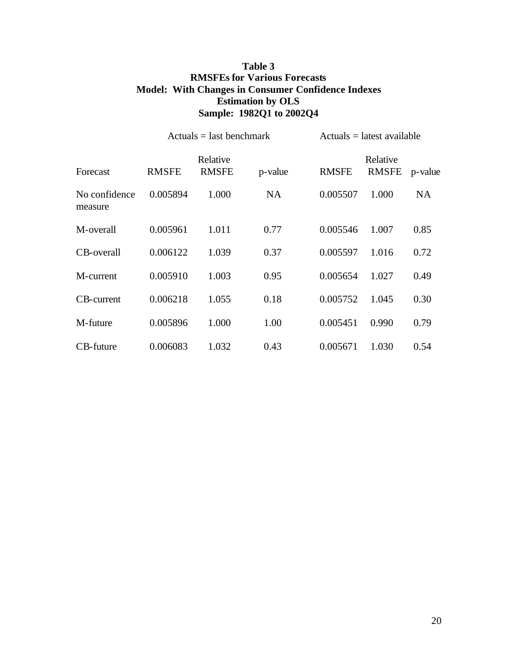## **Table 3 RMSFEs for Various Forecasts Model: With Changes in Consumer Confidence Indexes Estimation by OLS Sample: 1982Q1 to 2002Q4**

|                          | $Actuals = last benchmark$ |                          |           | $Actuals = latest available$ |                   |           |
|--------------------------|----------------------------|--------------------------|-----------|------------------------------|-------------------|-----------|
| Forecast                 | <b>RMSFE</b>               | Relative<br><b>RMSFE</b> | p-value   | <b>RMSFE</b>                 | Relative<br>RMSFE | p-value   |
| No confidence<br>measure | 0.005894                   | 1.000                    | <b>NA</b> | 0.005507                     | 1.000             | <b>NA</b> |
| M-overall                | 0.005961                   | 1.011                    | 0.77      | 0.005546                     | 1.007             | 0.85      |
| CB-overall               | 0.006122                   | 1.039                    | 0.37      | 0.005597                     | 1.016             | 0.72      |
| M-current                | 0.005910                   | 1.003                    | 0.95      | 0.005654                     | 1.027             | 0.49      |
| <b>CB-current</b>        | 0.006218                   | 1.055                    | 0.18      | 0.005752                     | 1.045             | 0.30      |
| M-future                 | 0.005896                   | 1.000                    | 1.00      | 0.005451                     | 0.990             | 0.79      |
| CB-future                | 0.006083                   | 1.032                    | 0.43      | 0.005671                     | 1.030             | 0.54      |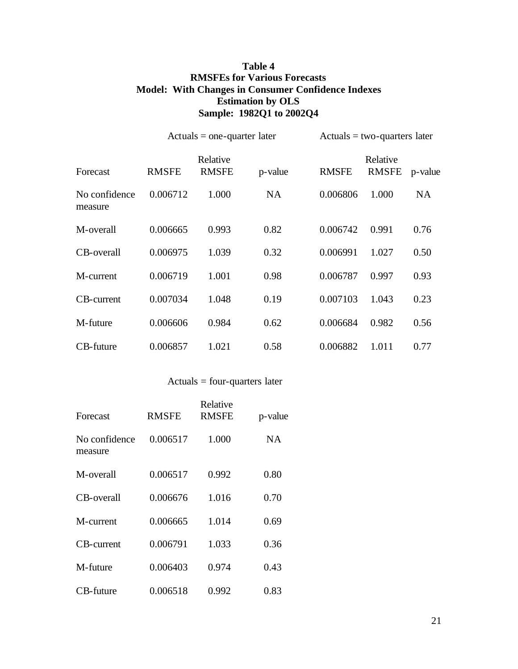## **Table 4 RMSFEs for Various Forecasts Model: With Changes in Consumer Confidence Indexes Estimation by OLS Sample: 1982Q1 to 2002Q4**

|                          | $Actuals = one-quarter later$ |                          |           |              | $Actuals = two-quarters later$ |           |  |
|--------------------------|-------------------------------|--------------------------|-----------|--------------|--------------------------------|-----------|--|
| Forecast                 | <b>RMSFE</b>                  | Relative<br><b>RMSFE</b> | p-value   | <b>RMSFE</b> | Relative<br><b>RMSFE</b>       | p-value   |  |
| No confidence<br>measure | 0.006712                      | 1.000                    | <b>NA</b> | 0.006806     | 1.000                          | <b>NA</b> |  |
| M-overall                | 0.006665                      | 0.993                    | 0.82      | 0.006742     | 0.991                          | 0.76      |  |
| CB-overall               | 0.006975                      | 1.039                    | 0.32      | 0.006991     | 1.027                          | 0.50      |  |
| M-current                | 0.006719                      | 1.001                    | 0.98      | 0.006787     | 0.997                          | 0.93      |  |
| <b>CB-current</b>        | 0.007034                      | 1.048                    | 0.19      | 0.007103     | 1.043                          | 0.23      |  |
| M-future                 | 0.006606                      | 0.984                    | 0.62      | 0.006684     | 0.982                          | 0.56      |  |
| CB-future                | 0.006857                      | 1.021                    | 0.58      | 0.006882     | 1.011                          | 0.77      |  |

Actuals = four-quarters later

| Forecast                 | <b>RMSFE</b> | Relative<br><b>RMSFE</b> | p-value   |
|--------------------------|--------------|--------------------------|-----------|
| No confidence<br>measure | 0.006517     | 1.000                    | <b>NA</b> |
| M-overall                | 0.006517     | 0.992                    | 0.80      |
| CB-overall               | 0.006676     | 1.016                    | 0.70      |
| M-current                | 0.006665     | 1.014                    | 0.69      |
| CB-current               | 0.006791     | 1.033                    | 0.36      |
| M-future                 | 0.006403     | 0.974                    | 0.43      |
| CB-future                | 0.006518     | 0.992                    | 0.83      |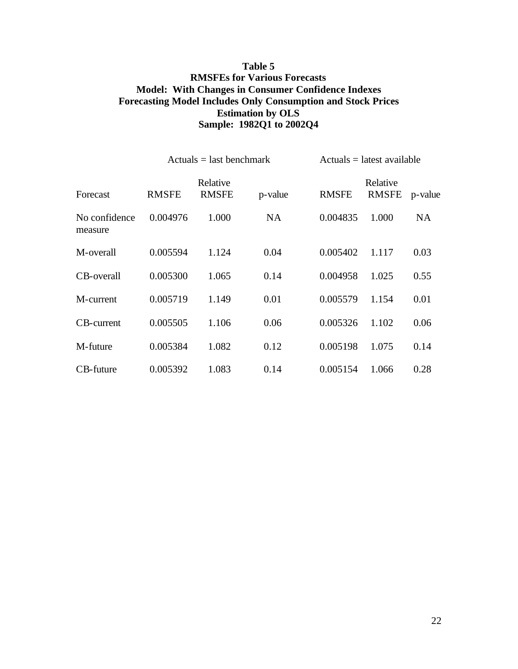## **Table 5 RMSFEs for Various Forecasts Model: With Changes in Consumer Confidence Indexes Forecasting Model Includes Only Consumption and Stock Prices Estimation by OLS Sample: 1982Q1 to 2002Q4**

|                          | $Actuals = last benchmark$ |                          |           | $Actuals = latest available$ |                           |           |
|--------------------------|----------------------------|--------------------------|-----------|------------------------------|---------------------------|-----------|
| Forecast                 | <b>RMSFE</b>               | Relative<br><b>RMSFE</b> | p-value   | <b>RMSFE</b>                 | Relative<br>RMSFE p-value |           |
| No confidence<br>measure | 0.004976                   | 1.000                    | <b>NA</b> | 0.004835                     | 1.000                     | <b>NA</b> |
| M-overall                | 0.005594                   | 1.124                    | 0.04      | 0.005402                     | 1.117                     | 0.03      |
| CB-overall               | 0.005300                   | 1.065                    | 0.14      | 0.004958                     | 1.025                     | 0.55      |
| M-current                | 0.005719                   | 1.149                    | 0.01      | 0.005579                     | 1.154                     | 0.01      |
| CB-current               | 0.005505                   | 1.106                    | 0.06      | 0.005326                     | 1.102                     | 0.06      |
| M-future                 | 0.005384                   | 1.082                    | 0.12      | 0.005198                     | 1.075                     | 0.14      |
| CB-future                | 0.005392                   | 1.083                    | 0.14      | 0.005154                     | 1.066                     | 0.28      |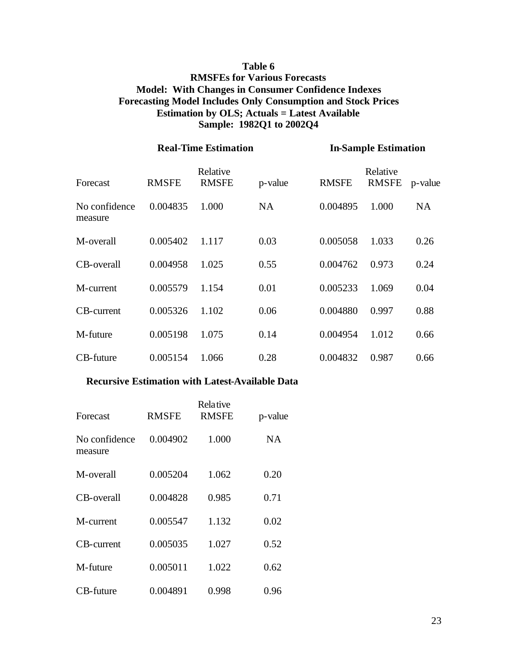## **Table 6 RMSFEs for Various Forecasts Model: With Changes in Consumer Confidence Indexes Forecasting Model Includes Only Consumption and Stock Prices Estimation by OLS; Actuals = Latest Available Sample: 1982Q1 to 2002Q4**

|                          | <b>Real-Time Estimation</b> |                          |         | <b>In-Sample Estimation</b> |                          |           |
|--------------------------|-----------------------------|--------------------------|---------|-----------------------------|--------------------------|-----------|
| Forecast                 | <b>RMSFE</b>                | Relative<br><b>RMSFE</b> | p-value | <b>RMSFE</b>                | Relative<br><b>RMSFE</b> | p-value   |
| No confidence<br>measure | 0.004835                    | 1.000                    | NA      | 0.004895                    | 1.000                    | <b>NA</b> |
| M-overall                | 0.005402                    | 1.117                    | 0.03    | 0.005058                    | 1.033                    | 0.26      |
| CB-overall               | 0.004958                    | 1.025                    | 0.55    | 0.004762                    | 0.973                    | 0.24      |
| M-current                | 0.005579                    | 1.154                    | 0.01    | 0.005233                    | 1.069                    | 0.04      |
| <b>CB-current</b>        | 0.005326                    | 1.102                    | 0.06    | 0.004880                    | 0.997                    | 0.88      |
| M-future                 | 0.005198                    | 1.075                    | 0.14    | 0.004954                    | 1.012                    | 0.66      |
| CB-future                | 0.005154                    | 1.066                    | 0.28    | 0.004832                    | 0.987                    | 0.66      |

### **Recursive Estimation with Latest-Available Data**

| Forecast                 | <b>RMSFE</b> | <b>Relative</b><br><b>RMSFE</b> | p-value   |
|--------------------------|--------------|---------------------------------|-----------|
| No confidence<br>measure | 0.004902     | 1.000                           | <b>NA</b> |
| M-overall                | 0.005204     | 1.062                           | 0.20      |
| CB-overall               | 0.004828     | 0.985                           | 0.71      |
| M-current                | 0.005547     | 1.132                           | 0.02      |
| CB-current               | 0.005035     | 1.027                           | 0.52      |
| M-future                 | 0.005011     | 1.022                           | 0.62      |
| CB-future                | 0.004891     | 0.998                           | 0.96      |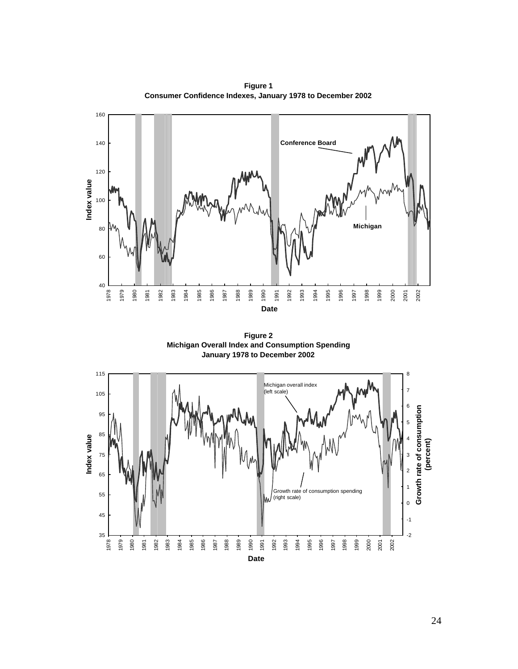

**Figure 1 Consumer Confidence Indexes, January 1978 to December 2002**

**Figure 2 Michigan Overall Index and Consumption Spending January 1978 to December 2002**

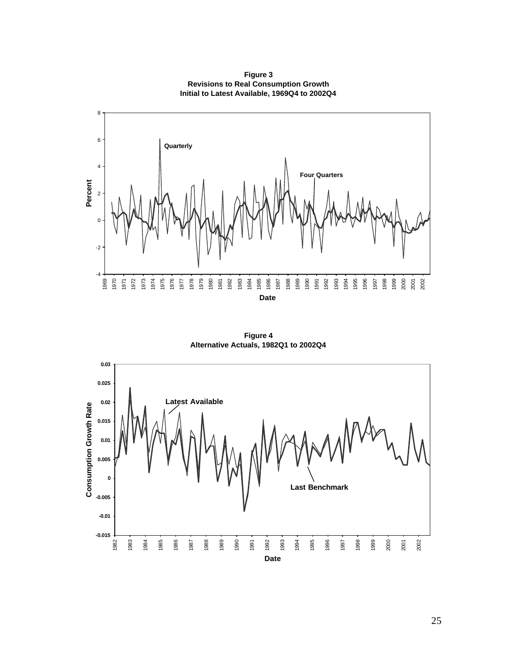

**Figure 3 Revisions to Real Consumption Growth Initial to Latest Available, 1969Q4 to 2002Q4**

**Figure 4 Alternative Actuals, 1982Q1 to 2002Q4**

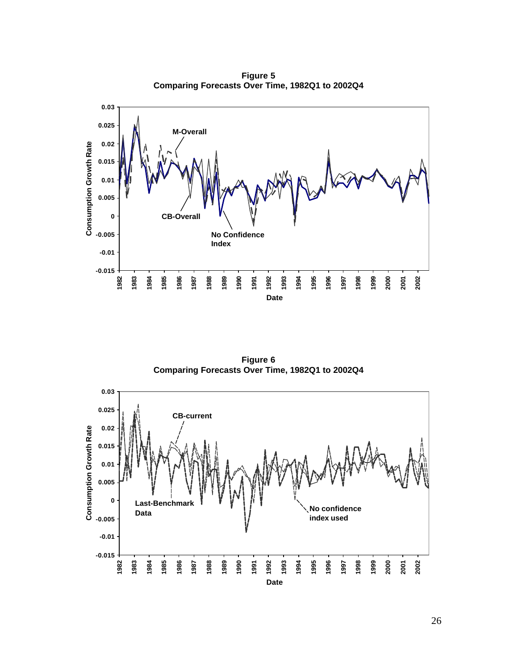**Figure 5 Comparing Forecasts Over Time, 1982Q1 to 2002Q4** 



**Figure 6 Comparing Forecasts Over Time, 1982Q1 to 2002Q4** 

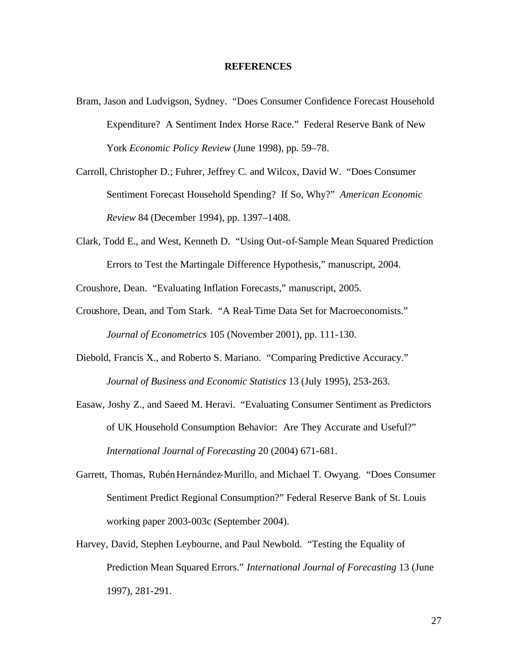#### **REFERENCES**

- Bram, Jason and Ludvigson, Sydney. "Does Consumer Confidence Forecast Household Expenditure? A Sentiment Index Horse Race." Federal Reserve Bank of New York *Economic Policy Review* (June 1998), pp. 59–78.
- Carroll, Christopher D.; Fuhrer, Jeffrey C. and Wilcox, David W. "Does Consumer Sentiment Forecast Household Spending? If So, Why?" *American Economic Review* 84 (December 1994), pp. 1397–1408.
- Clark, Todd E., and West, Kenneth D. "Using Out-of-Sample Mean Squared Prediction Errors to Test the Martingale Difference Hypothesis," manuscript, 2004.

Croushore, Dean. "Evaluating Inflation Forecasts," manuscript, 2005.

- Croushore, Dean, and Tom Stark. "A Real-Time Data Set for Macroeconomists." *Journal of Econometrics* 105 (November 2001), pp. 111-130.
- Diebold, Francis X., and Roberto S. Mariano. "Comparing Predictive Accuracy." *Journal of Business and Economic Statistics* 13 (July 1995), 253-263.
- Easaw, Joshy Z., and Saeed M. Heravi. "Evaluating Consumer Sentiment as Predictors of UK Household Consumption Behavior: Are They Accurate and Useful?" *International Journal of Forecasting* 20 (2004) 671-681.
- Garrett, Thomas, Rubén Hernández-Murillo, and Michael T. Owyang. "Does Consumer Sentiment Predict Regional Consumption?" Federal Reserve Bank of St. Louis working paper 2003-003c (September 2004).
- Harvey, David, Stephen Leybourne, and Paul Newbold. "Testing the Equality of Prediction Mean Squared Errors." *International Journal of Forecasting* 13 (June 1997), 281-291.